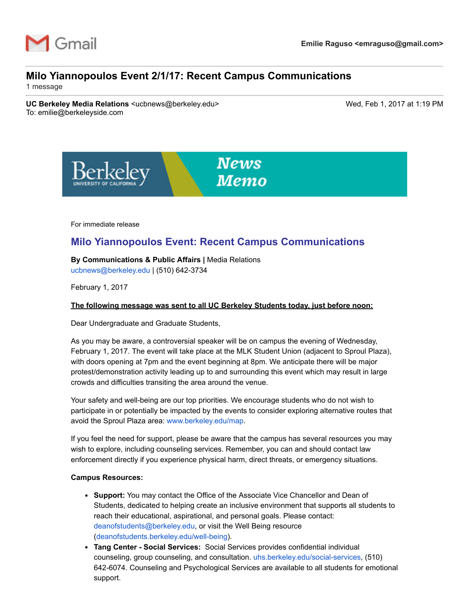

# **Milo Yiannopoulos Event 2/1/17: Recent Campus Communications**

1 message

**UC Berkeley Media Relations** <ucbnews@berkeley.edu> Wed, Feb 1, 2017 at 1:19 PM To: emilie@berkeleyside.com



For immediate release

# **Milo Yiannopoulos Event: Recent Campus Communications**

**By Communications & Public Affairs |** Media Relations [ucbnews@berkeley.edu](mailto:ucbnews@berkeley.edu) | (510) 642-3734

February 1, 2017

## **The following message was sent to all UC Berkeley Students today, just before noon:**

Dear Undergraduate and Graduate Students,

As you may be aware, a controversial speaker will be on campus the evening of Wednesday, February 1, 2017. The event will take place at the MLK Student Union (adjacent to Sproul Plaza), with doors opening at 7pm and the event beginning at 8pm. We anticipate there will be major protest/demonstration activity leading up to and surrounding this event which may result in large crowds and difficulties transiting the area around the venue.

Your safety and well-being are our top priorities. We encourage students who do not wish to participate in or potentially be impacted by the events to consider exploring alternative routes that avoid the Sproul Plaza area: [www.berkeley.edu/map](http://www.berkeley.edu/map).

If you feel the need for support, please be aware that the campus has several resources you may wish to explore, including counseling services. Remember, you can and should contact law enforcement directly if you experience physical harm, direct threats, or emergency situations.

#### **Campus Resources:**

- **Support:** You may contact the Office of the Associate Vice Chancellor and Dean of Students, dedicated to helping create an inclusive environment that supports all students to reach their educational, aspirational, and personal goals. Please contact: [deanofstudents@berkeley.edu,](mailto:deanofstudents@berkeley.edu) or visit the Well Being resource (deanofstudents.berkeley.edu/well-being).
- **Tang Center Social Services:** Social Services provides confidential individual counseling, group counseling, and consultation. uhs.berkeley.edu/social-services, (510) 6426074. Counseling and Psychological Services are available to all students for emotional support.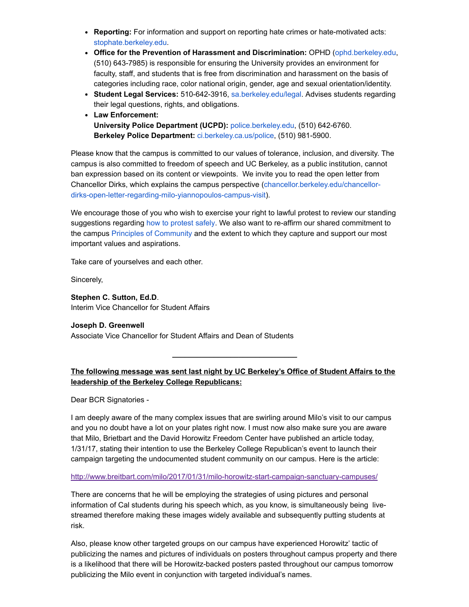- Reporting: For information and support on reporting hate crimes or hate-motivated acts: [stophate.berkeley.edu.](http://stophate.berkeley.edu/)
- **Office for the Prevention of Harassment and Discrimination:** OPHD ([ophd.berkeley.edu](http://ophd.berkeley.edu/), (510) 643-7985) is responsible for ensuring the University provides an environment for faculty, staff, and students that is free from discrimination and harassment on the basis of categories including race, color national origin, gender, age and sexual orientation/identity.
- **Student Legal Services:** 510-642-3916, [sa.berkeley.edu/legal.](http://sa.berkeley.edu/legal) Advises students regarding their legal questions, rights, and obligations.
- **Law Enforcement: University Police Department (UCPD): [police.berkeley.edu,](http://police.berkeley.edu/) (510) 642-6760. Berkeley Police Department: [ci.berkeley.ca.us/police,](http://ci.berkeley.ca.us/police) (510) 981-5900.**

Please know that the campus is committed to our values of tolerance, inclusion, and diversity. The campus is also committed to freedom of speech and UC Berkeley, as a public institution, cannot ban expression based on its content or viewpoints. We invite you to read the open letter from [Chancellor Dirks, which explains the campus perspective \(chancellor.berkeley.edu/chancellor](http://chancellor.berkeley.edu/chancellor-dirks-open-letter-regarding-milo-yiannopoulos-campus-visit)dirks-open-letter-regarding-milo-yiannopoulos-campus-visit).

We encourage those of you who wish to exercise your right to lawful protest to review our standing suggestions regarding [how to protest safely.](http://sa.berkeley.edu/protest-safely) We also want to re-affirm our shared commitment to the campus [Principles of Community](http://diversity.berkeley.edu/principles-community) and the extent to which they capture and support our most important values and aspirations.

Take care of yourselves and each other.

Sincerely,

**Stephen C. Sutton, Ed.D**. Interim Vice Chancellor for Student Affairs

#### **Joseph D. Greenwell**

Associate Vice Chancellor for Student Affairs and Dean of Students

# **The following message was sent last night by UC Berkeley's Office of Student Affairs to the leadership of the Berkeley College Republicans:**

**\_\_\_\_\_\_\_\_\_\_\_\_\_\_\_\_\_\_\_\_\_\_\_\_\_\_\_\_\_\_**

Dear BCR Signatories

I am deeply aware of the many complex issues that are swirling around Milo's visit to our campus and you no doubt have a lot on your plates right now. I must now also make sure you are aware that Milo, Brietbart and the David Horowitz Freedom Center have published an article today, 1/31/17, stating their intention to use the Berkeley College Republican's event to launch their campaign targeting the undocumented student community on our campus. Here is the article:

## http://www.breitbart.com/milo/2017/01/31/milo-horowitz-start-campaign-sanctuary-campuses/

There are concerns that he will be employing the strategies of using pictures and personal information of Cal students during his speech which, as you know, is simultaneously being livestreamed therefore making these images widely available and subsequently putting students at risk.

Also, please know other targeted groups on our campus have experienced Horowitz' tactic of publicizing the names and pictures of individuals on posters throughout campus property and there is a likelihood that there will be Horowitz-backed posters pasted throughout our campus tomorrow publicizing the Milo event in conjunction with targeted individual's names.